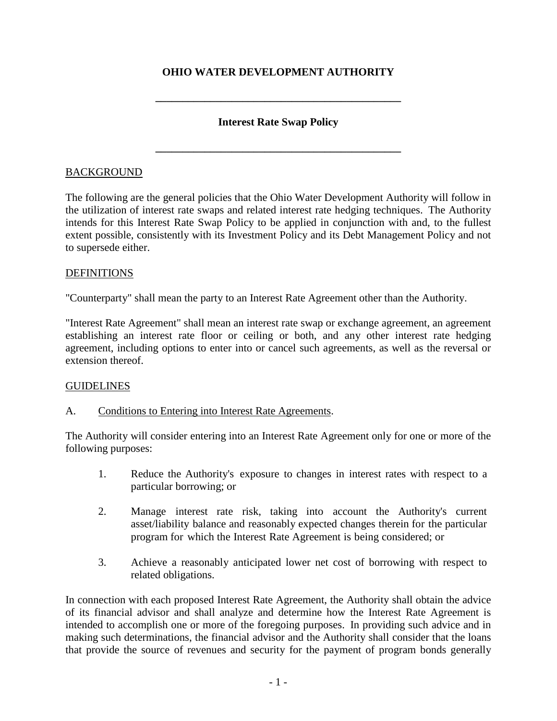# **OHIO WATER DEVELOPMENT AUTHORITY**

**\_\_\_\_\_\_\_\_\_\_\_\_\_\_\_\_\_\_\_\_\_\_\_\_\_\_\_\_\_\_\_\_\_\_\_\_\_\_\_\_\_\_\_\_\_**

## **Interest Rate Swap Policy**

**\_\_\_\_\_\_\_\_\_\_\_\_\_\_\_\_\_\_\_\_\_\_\_\_\_\_\_\_\_\_\_\_\_\_\_\_\_\_\_\_\_\_\_\_\_**

### BACKGROUND

The following are the general policies that the Ohio Water Development Authority will follow in the utilization of interest rate swaps and related interest rate hedging techniques. The Authority intends for this Interest Rate Swap Policy to be applied in conjunction with and, to the fullest extent possible, consistently with its Investment Policy and its Debt Management Policy and not to supersede either.

### DEFINITIONS

"Counterparty" shall mean the party to an Interest Rate Agreement other than the Authority.

"Interest Rate Agreement" shall mean an interest rate swap or exchange agreement, an agreement establishing an interest rate floor or ceiling or both, and any other interest rate hedging agreement, including options to enter into or cancel such agreements, as well as the reversal or extension thereof.

#### **GUIDELINES**

### A. Conditions to Entering into Interest Rate Agreements.

The Authority will consider entering into an Interest Rate Agreement only for one or more of the following purposes:

- 1. Reduce the Authority's exposure to changes in interest rates with respect to a particular borrowing; or
- 2. Manage interest rate risk, taking into account the Authority's current asset/liability balance and reasonably expected changes therein for the particular program for which the Interest Rate Agreement is being considered; or
- 3. Achieve a reasonably anticipated lower net cost of borrowing with respect to related obligations.

In connection with each proposed Interest Rate Agreement, the Authority shall obtain the advice of its financial advisor and shall analyze and determine how the Interest Rate Agreement is intended to accomplish one or more of the foregoing purposes. In providing such advice and in making such determinations, the financial advisor and the Authority shall consider that the loans that provide the source of revenues and security for the payment of program bonds generally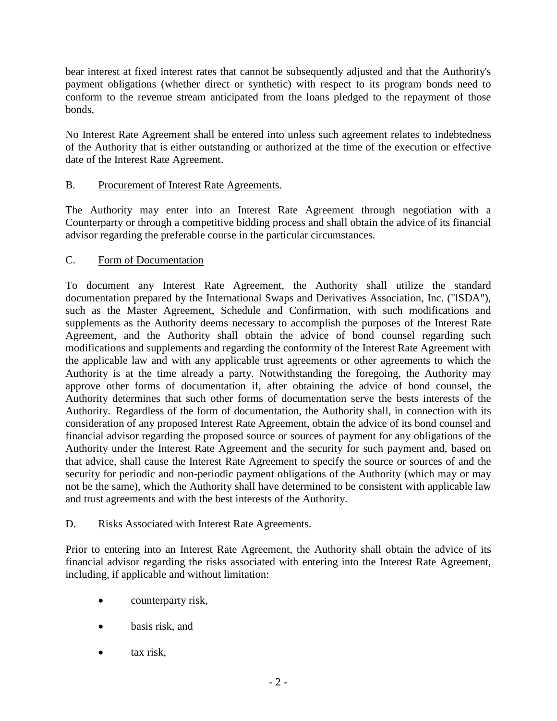bear interest at fixed interest rates that cannot be subsequently adjusted and that the Authority's payment obligations (whether direct or synthetic) with respect to its program bonds need to conform to the revenue stream anticipated from the loans pledged to the repayment of those bonds.

No Interest Rate Agreement shall be entered into unless such agreement relates to indebtedness of the Authority that is either outstanding or authorized at the time of the execution or effective date of the Interest Rate Agreement.

# B. Procurement of Interest Rate Agreements.

The Authority may enter into an Interest Rate Agreement through negotiation with a Counterparty or through a competitive bidding process and shall obtain the advice of its financial advisor regarding the preferable course in the particular circumstances.

## C. Form of Documentation

To document any Interest Rate Agreement, the Authority shall utilize the standard documentation prepared by the International Swaps and Derivatives Association, Inc. ("lSDA"), such as the Master Agreement, Schedule and Confirmation, with such modifications and supplements as the Authority deems necessary to accomplish the purposes of the Interest Rate Agreement, and the Authority shall obtain the advice of bond counsel regarding such modifications and supplements and regarding the conformity of the Interest Rate Agreement with the applicable law and with any applicable trust agreements or other agreements to which the Authority is at the time already a party. Notwithstanding the foregoing, the Authority may approve other forms of documentation if, after obtaining the advice of bond counsel, the Authority determines that such other forms of documentation serve the bests interests of the Authority. Regardless of the form of documentation, the Authority shall, in connection with its consideration of any proposed Interest Rate Agreement, obtain the advice of its bond counsel and financial advisor regarding the proposed source or sources of payment for any obligations of the Authority under the Interest Rate Agreement and the security for such payment and, based on that advice, shall cause the Interest Rate Agreement to specify the source or sources of and the security for periodic and non-periodic payment obligations of the Authority (which may or may not be the same), which the Authority shall have determined to be consistent with applicable law and trust agreements and with the best interests of the Authority.

## D. Risks Associated with Interest Rate Agreements.

Prior to entering into an Interest Rate Agreement, the Authority shall obtain the advice of its financial advisor regarding the risks associated with entering into the Interest Rate Agreement, including, if applicable and without limitation:

- counterparty risk,
- basis risk, and
- tax risk.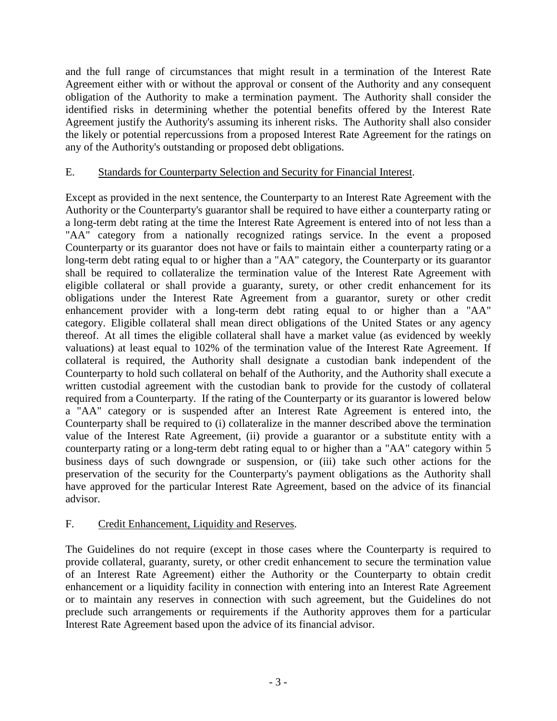and the full range of circumstances that might result in a termination of the Interest Rate Agreement either with or without the approval or consent of the Authority and any consequent obligation of the Authority to make a termination payment. The Authority shall consider the identified risks in determining whether the potential benefits offered by the Interest Rate Agreement justify the Authority's assuming its inherent risks. The Authority shall also consider the likely or potential repercussions from a proposed Interest Rate Agreement for the ratings on any of the Authority's outstanding or proposed debt obligations.

## E. Standards for Counterparty Selection and Security for Financial Interest.

Except as provided in the next sentence, the Counterparty to an Interest Rate Agreement with the Authority or the Counterparty's guarantor shall be required to have either a counterparty rating or a long-term debt rating at the time the Interest Rate Agreement is entered into of not less than a "AA" category from a nationally recognized ratings service. In the event a proposed Counterparty or its guarantor does not have or fails to maintain either a counterparty rating or a long-term debt rating equal to or higher than a "AA" category, the Counterparty or its guarantor shall be required to collateralize the termination value of the Interest Rate Agreement with eligible collateral or shall provide a guaranty, surety, or other credit enhancement for its obligations under the Interest Rate Agreement from a guarantor, surety or other credit enhancement provider with a long-term debt rating equal to or higher than a "AA" category. Eligible collateral shall mean direct obligations of the United States or any agency thereof. At all times the eligible collateral shall have a market value (as evidenced by weekly valuations) at least equal to 102% of the termination value of the Interest Rate Agreement. If collateral is required, the Authority shall designate a custodian bank independent of the Counterparty to hold such collateral on behalf of the Authority, and the Authority shall execute a written custodial agreement with the custodian bank to provide for the custody of collateral required from a Counterparty. If the rating of the Counterparty or its guarantor is lowered below a "AA" category or is suspended after an Interest Rate Agreement is entered into, the Counterparty shall be required to (i) collateralize in the manner described above the termination value of the Interest Rate Agreement, (ii) provide a guarantor or a substitute entity with a counterparty rating or a long-term debt rating equal to or higher than a "AA" category within 5 business days of such downgrade or suspension, or (iii) take such other actions for the preservation of the security for the Counterparty's payment obligations as the Authority shall have approved for the particular Interest Rate Agreement, based on the advice of its financial advisor.

## F. Credit Enhancement, Liquidity and Reserves.

The Guidelines do not require (except in those cases where the Counterparty is required to provide collateral, guaranty, surety, or other credit enhancement to secure the termination value of an Interest Rate Agreement) either the Authority or the Counterparty to obtain credit enhancement or a liquidity facility in connection with entering into an Interest Rate Agreement or to maintain any reserves in connection with such agreement, but the Guidelines do not preclude such arrangements or requirements if the Authority approves them for a particular Interest Rate Agreement based upon the advice of its financial advisor.